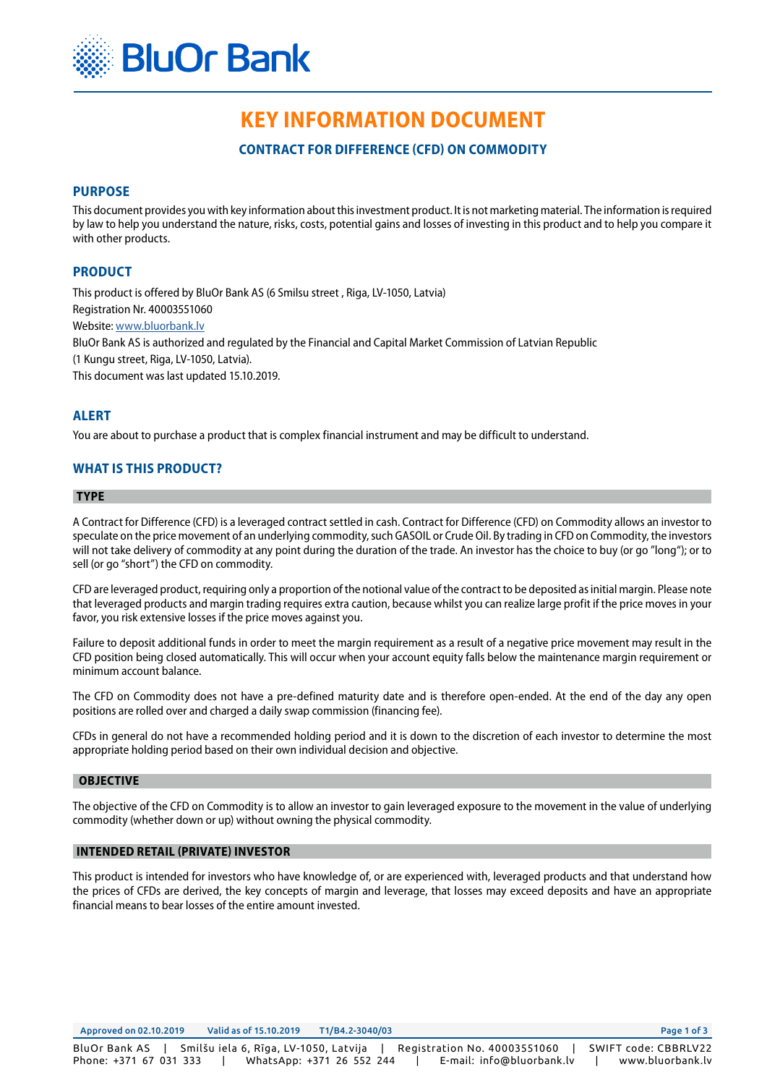

# **KEY INFORMATION DOCUMENT**

**CONTRACT FOR DIFFERENCE (CFD) ON COMMODITY**

# **PURPOSE**

This document provides you with key information about this investment product. It is not marketing material. The information is required by law to help you understand the nature, risks, costs, potential gains and losses of investing in this product and to help you compare it with other products.

# **PRODUCT**

This product is offered by BluOr Bank AS (6 Smilsu street , Riga, LV-1050, Latvia) Registration Nr. 40003551060

Website: [www.bluorbank.lv](https://www.bluorbank.lv/en/index)

BluOr Bank AS is authorized and regulated by the Financial and Capital Market Commission of Latvian Republic

(1 Kungu street, Riga, LV-1050, Latvia).

This document was last updated 15.10.2019.

# **ALERT**

You are about to purchase a product that is complex financial instrument and may be difficult to understand.

# **WHAT IS THIS PRODUCT?**

#### **TYPE**

A Contract for Difference (CFD) is a leveraged contract settled in cash. Contract for Difference (CFD) on Commodity allows an investor to speculate on the price movement of an underlying commodity, such GASOIL or Crude Oil. By trading in CFD on Commodity, the investors will not take delivery of commodity at any point during the duration of the trade. An investor has the choice to buy (or go "long"); or to sell (or go "short") the CFD on commodity.

CFD are leveraged product, requiring only a proportion of the notional value of the contract to be deposited as initial margin. Please note that leveraged products and margin trading requires extra caution, because whilst you can realize large profit if the price moves in your favor, you risk extensive losses if the price moves against you.

Failure to deposit additional funds in order to meet the margin requirement as a result of a negative price movement may result in the CFD position being closed automatically. This will occur when your account equity falls below the maintenance margin requirement or minimum account balance.

The CFD on Commodity does not have a pre-defined maturity date and is therefore open-ended. At the end of the day any open positions are rolled over and charged a daily swap commission (financing fee).

CFDs in general do not have a recommended holding period and it is down to the discretion of each investor to determine the most appropriate holding period based on their own individual decision and objective.

#### **OBJECTIVE**

The objective of the CFD on Commodity is to allow an investor to gain leveraged exposure to the movement in the value of underlying commodity (whether down or up) without owning the physical commodity.

# **INTENDED RETAIL (PRIVATE) INVESTOR**

This product is intended for investors who have knowledge of, or are experienced with, leveraged products and that understand how the prices of CFDs are derived, the key concepts of margin and leverage, that losses may exceed deposits and have an appropriate financial means to bear losses of the entire amount invested.

Approved on 02.10.2019 Valid as of 15.10.2019 T1/B4.2-3040/03 Page 1 of 3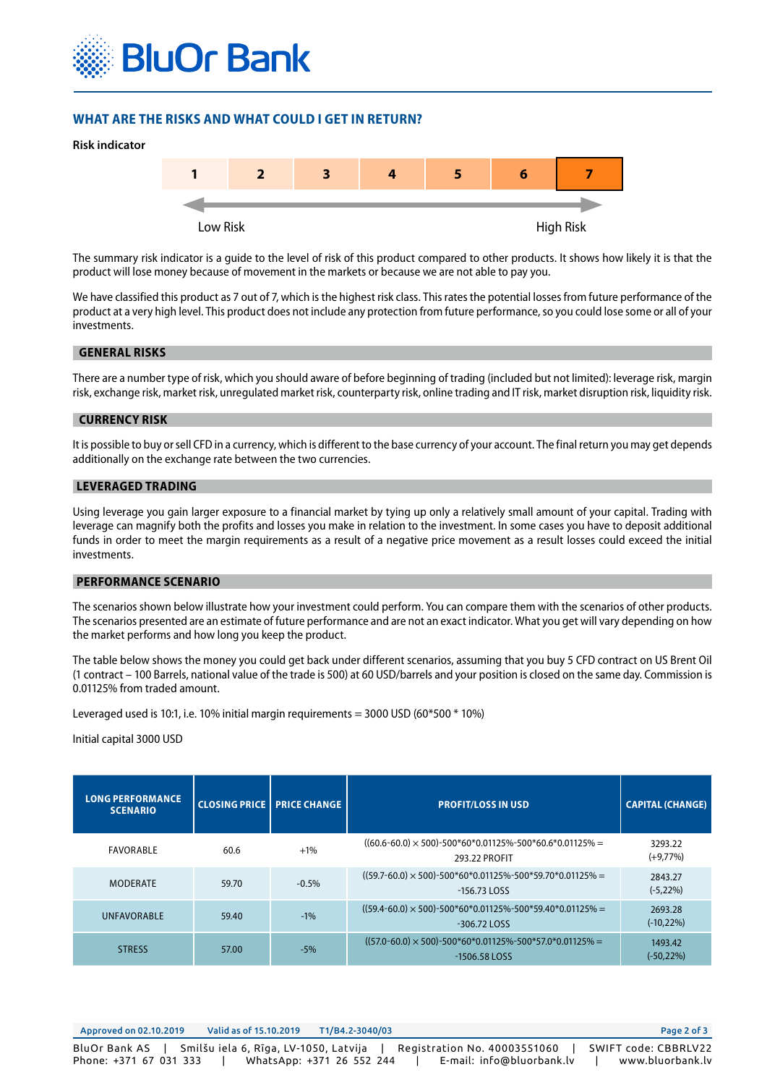

# **WHAT ARE THE RISKS AND WHAT COULD I GET IN RETURN?**



The summary risk indicator is a guide to the level of risk of this product compared to other products. It shows how likely it is that the product will lose money because of movement in the markets or because we are not able to pay you.

We have classified this product as 7 out of 7, which is the highest risk class. This rates the potential losses from future performance of the product at a very high level. This product does not include any protection from future performance, so you could lose some or all of your investments.

#### **GENERAL RISKS**

There are a number type of risk, which you should aware of before beginning of trading (included but not limited): leverage risk, margin risk, exchange risk, market risk, unregulated market risk, counterparty risk, online trading and IT risk, market disruption risk, liquidity risk.

#### **CURRENCY RISK**

It is possible to buy or sell CFD in a currency, which is different to the base currency of your account. The final return you may get depends additionally on the exchange rate between the two currencies.

# **LEVERAGED TRADING**

Using leverage you gain larger exposure to a financial market by tying up only a relatively small amount of your capital. Trading with leverage can magnify both the profits and losses you make in relation to the investment. In some cases you have to deposit additional funds in order to meet the margin requirements as a result of a negative price movement as a result losses could exceed the initial investments.

#### **PERFORMANCE SCENARIO**

The scenarios shown below illustrate how your investment could perform. You can compare them with the scenarios of other products. The scenarios presented are an estimate of future performance and are not an exact indicator. What you get will vary depending on how the market performs and how long you keep the product.

The table below shows the money you could get back under different scenarios, assuming that you buy 5 CFD contract on US Brent Oil (1 contract – 100 Barrels, national value of the trade is 500) at 60 USD/barrels and your position is closed on the same day. Commission is 0.01125% from traded amount.

Leveraged used is 10:1, i.e. 10% initial margin requirements = 3000 USD (60 $*$ 500 $*$  10%)

#### Initial capital 3000 USD

| <b>LONG PERFORMANCE</b><br><b>SCENARIO</b> |       | <b>CLOSING PRICE   PRICE CHANGE</b> | <b>PROFIT/LOSS IN USD</b>                                                                 | <b>CAPITAL (CHANGE)</b>  |
|--------------------------------------------|-------|-------------------------------------|-------------------------------------------------------------------------------------------|--------------------------|
| FAVORABLE                                  | 60.6  | $+1\%$                              | $((60.6-60.0) \times 500)$ -500*60*0.01125%-500*60.6*0.01125% =<br>293.22 PROFIT          | 3293.22<br>$(+9,77%)$    |
| <b>MODERATE</b>                            | 59.70 | $-0.5%$                             | $((59.7 - 60.0) \times 500) - 500*60*0.01125\% - 500*59.70*0.01125\% =$<br>$-156.73$ LOSS | 2843.27<br>$(-5,22%)$    |
| <b>UNFAVORABLE</b>                         | 59.40 | $-1%$                               | $((59.4 - 60.0) \times 500) - 500*60*0.01125\% - 500*59.40*0.01125\% =$<br>$-306.72$ LOSS | 2693.28<br>$(-10, 22\%)$ |
| <b>STRESS</b>                              | 57.00 | $-5%$                               | $((57.0 - 60.0) \times 500) - 500*60*0.01125\% - 500*57.0*0.01125\% =$<br>$-1506.58$ LOSS | 1493.42<br>$(-50, 22%)$  |

| Approved on 02.10.2019                  | Valid as of 15.10.2019                | T1/B4.2-3040/03           |                                                           | Page 2 of 3                              |
|-----------------------------------------|---------------------------------------|---------------------------|-----------------------------------------------------------|------------------------------------------|
| BluOr Bank AS<br>Phone: +371 67 031 333 | Smilšu iela 6, Rīga, LV-1050, Latvija | WhatsApp: +371 26 552 244 | Registration No. 40003551060<br>E-mail: info@bluorbank.lv | SWIFT code: CBBRLV22<br>www.bluorbank.lv |